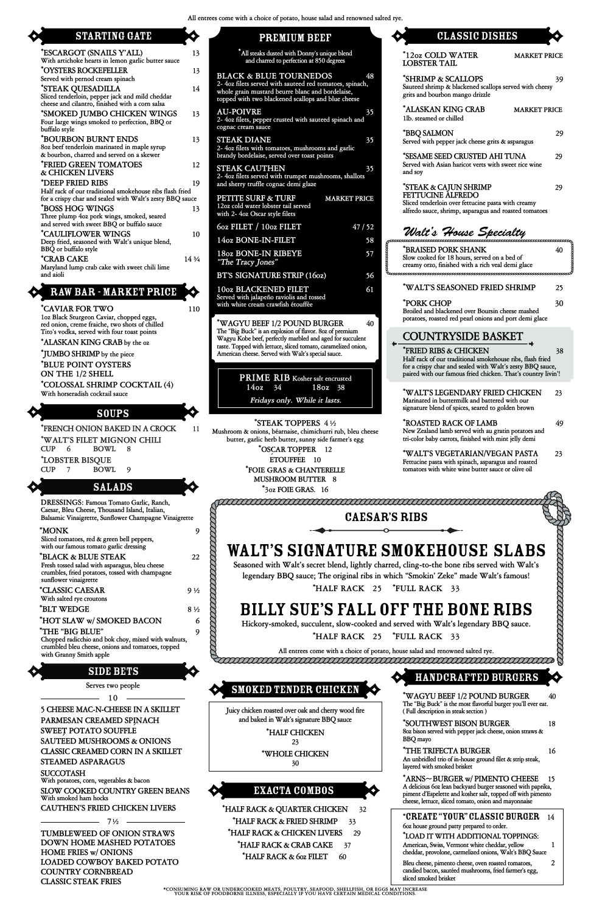|                                                                                                                                                                                                                                                                                                                        |                  | All entrees come with a choice of potato, house salad and renowned salte                                                                                                                                                                                                                                                                                                                           |
|------------------------------------------------------------------------------------------------------------------------------------------------------------------------------------------------------------------------------------------------------------------------------------------------------------------------|------------------|----------------------------------------------------------------------------------------------------------------------------------------------------------------------------------------------------------------------------------------------------------------------------------------------------------------------------------------------------------------------------------------------------|
| <b>STARTING GATE</b>                                                                                                                                                                                                                                                                                                   |                  | <b>PREMIUM BEEF</b>                                                                                                                                                                                                                                                                                                                                                                                |
| *ESCARGOT (SNAILS Y'ALL)<br>With artichoke hearts in lemon garlic butter sauce                                                                                                                                                                                                                                         | 13               | *All steaks dusted with Donny's unique blend<br>and charred to perfection at 850 degrees                                                                                                                                                                                                                                                                                                           |
| *OYSTERS ROCKEFELLER<br>Served with pernod cream spinach<br>*STEAK QUESADILLA<br>Sliced tenderloin, pepper jack and mild cheddar                                                                                                                                                                                       | 13<br>14         | <b>BLACK &amp; BLUE TOURNEDOS</b><br>48<br>2- 4oz filets served with sauteed red tomatoes, spinach,<br>whole grain mustard beurre blanc and bordelaise,<br>topped with two blackened scallops and blue cheese                                                                                                                                                                                      |
| cheese and cilantro, finished with a corn salsa<br>*SMOKED JUMBO CHICKEN WINGS<br>Four large wings smoked to perfection, BBQ or<br>buffalo style                                                                                                                                                                       | 13               | <b>AU-POIVRE</b><br>35<br>2- 4oz filets, pepper crusted with sauteed spinach and<br>cognac cream sauce                                                                                                                                                                                                                                                                                             |
| *BOURBON BURNT ENDS<br>802 beef tenderloin marinated in maple syrup<br>& bourbon, charred and served on a skewer                                                                                                                                                                                                       | 13               | <b>STEAK DIANE</b><br>35<br>2-4oz filets with tomatoes, mushrooms and garlic<br>brandy bordelaise, served over toast points                                                                                                                                                                                                                                                                        |
| *FRIED GREEN TOMATOES<br>& CHICKEN LIVERS<br>*DEEP FRIED RIBS                                                                                                                                                                                                                                                          | 12<br>19         | <b>STEAK CAUTHEN</b><br>35<br>2- 4oz filets served with trumpet mushrooms, shallots<br>and sherry truffle cognac demi glaze                                                                                                                                                                                                                                                                        |
| Half rack of our traditional smokehouse ribs flash fried<br>for a crispy char and sealed with Walt's zesty BBQ sauce<br>*BOSS HOG WINGS                                                                                                                                                                                | 13               | PETITE SURF & TURF<br><b>MARKET PRICE</b><br>12oz cold water lobster tail served                                                                                                                                                                                                                                                                                                                   |
| Three plump 4oz pork wings, smoked, seared<br>and served with sweet BBQ or buffalo sauce                                                                                                                                                                                                                               |                  | with 2-4oz Oscar style filets<br>60z FILET / 100z FILET<br>47/52                                                                                                                                                                                                                                                                                                                                   |
| *CAULIFLOWER WINGS<br>Deep fried, seasoned with Walt's unique blend,                                                                                                                                                                                                                                                   | 10               | 14oz BONE-IN-FILET<br>58                                                                                                                                                                                                                                                                                                                                                                           |
| BBQ or buffalo style<br>*CRAB CAKE<br>Maryland lump crab cake with sweet chili lime                                                                                                                                                                                                                                    | 14 3/4           | <b>18oz BONE-IN RIBEYE</b><br>57<br>"The Tracy Jones"                                                                                                                                                                                                                                                                                                                                              |
| and aioli                                                                                                                                                                                                                                                                                                              |                  | <b>BT'S SIGNATURE STRIP (16oz)</b><br>56                                                                                                                                                                                                                                                                                                                                                           |
| <b>RAW BAR - MARKET PRICE</b><br>*CAVIAR FOR TWO                                                                                                                                                                                                                                                                       | 110              | <b>10oz BLACKENED FILET</b><br>61<br>Served with jalapeño raviolis and tossed<br>with white cream crawfish étouffée                                                                                                                                                                                                                                                                                |
| 1oz Black Sturgeon Caviar, chopped eggs,<br>red onion, creme fraiche, two shots of chilled<br>Tito's vodka, served with four toast points<br>*ALASKAN KING CRAB by the oz<br>*JUMBO SHRIMP by the piece<br>*BLUE POINT OYSTERS<br>ON THE 1/2 SHELL<br>*COLOSSAL SHRIMP COCKTAIL (4)<br>With horseradish cocktail sauce |                  | *WAGYU BEEF 1/2 POUND BURGER<br>40<br>The "Big Buck" is an explosion of flavor. 802 of premium<br>Wagyu Kobe beef, perfectly marbled and aged for succulent<br>taste. Topped with lettuce, sliced tomato, caramelized onion,<br>American cheese. Served with Walt's special sauce.<br><b>PRIME RIB</b> Kosher salt encrusted<br>14 <sub>oz</sub><br>34<br>18oz 38<br>Fridays only. While it lasts. |
| <b>SOUPS</b>                                                                                                                                                                                                                                                                                                           |                  |                                                                                                                                                                                                                                                                                                                                                                                                    |
| <b>*FRENCH ONION BAKED IN A CROCK</b><br>*WALT'S FILET MIGNON CHILI<br><b>CUP</b><br><b>BOWL</b><br>6<br>8<br>*LOBSTER BISQUE<br><b>CUP</b><br><b>BOWL</b><br>9<br>7<br><b>SALADS</b>                                                                                                                                  | 11               | *STEAK TOPPERS 4½<br>Mushroom & onions, béarnaise, chimichurri rub, bleu cheese<br>butter, garlic herb butter, sunny side farmer's egg<br>*OSCAR TOPPER 12<br>ETOUFFEE 10<br>*FOIE GRAS & CHANTERELLE<br>MUSHROOM BUTTER 8                                                                                                                                                                         |
| DRESSINGS: Famous Tomato Garlic, Ranch,                                                                                                                                                                                                                                                                                |                  | *3oz FOIE GRAS. 16<br><i>eaaaaaaaa</i>                                                                                                                                                                                                                                                                                                                                                             |
| Caesar, Bleu Cheese, Thousand Island, Italian,<br>Balsamic Vinaigrette, Sunflower Champagne Vinaigrette                                                                                                                                                                                                                |                  | <b>CAESAF</b>                                                                                                                                                                                                                                                                                                                                                                                      |
| *MONK<br>Sliced tomatoes, red & green bell peppers,<br>with our famous tomato garlic dressing<br>*BLACK & BLUE STEAK<br>Fresh tossed salad with asparagus, bleu cheese<br>crumbles, fried potatoes, tossed with champagne<br>sunflower vinaigrette                                                                     | 9<br>22          | <b>WALT'S SIGNATURE S</b><br>Seasoned with Walt's secret blend, lightly cha<br>legendary BBQ sauce; The original ribs in v                                                                                                                                                                                                                                                                         |
| *CLASSIC CAESAR<br>With salted rye croutons                                                                                                                                                                                                                                                                            | 9 <sub>1/2</sub> | *HALF RACK 25                                                                                                                                                                                                                                                                                                                                                                                      |
| *BLT WEDGE                                                                                                                                                                                                                                                                                                             | $8\frac{1}{2}$   | <b>BILLY SUE'S FALL O</b>                                                                                                                                                                                                                                                                                                                                                                          |

| renowned salted rye.             |                                                                                                                                                                                                                           |                     |    |
|----------------------------------|---------------------------------------------------------------------------------------------------------------------------------------------------------------------------------------------------------------------------|---------------------|----|
|                                  | <b>CLASSIC DISHES</b>                                                                                                                                                                                                     |                     |    |
| end                              | *12oz COLD WATER<br><b>LOBSTER TAIL</b>                                                                                                                                                                                   | <b>MARKET PRICE</b> |    |
| 48<br>spinach,<br>ise.<br>heese: | *SHRIMP & SCALLOPS<br>Sauteed shrimp & blackened scallops served with cheesy<br>grits and bourbon mango drizzle                                                                                                           |                     | 39 |
| 35<br>ach and                    | *ALASKAN KING CRAB<br>1lb. steamed or chilled                                                                                                                                                                             | <b>MARKET PRICE</b> |    |
| 35<br>arlic                      | *BBQ SALMON<br>Served with pepper jack cheese grits & asparagus                                                                                                                                                           |                     | 29 |
| 35<br>shallots                   | *SESAME SEED CRUSTED AHI TUNA<br>Served with Asian haricot verts with sweet rice wine<br>and soy                                                                                                                          |                     | 29 |
| <b>ET PRICE</b>                  | *STEAK & CAJUN SHRIMP<br><b>FETTUCINE ALFREDO</b><br>Sliced tenderloin over fettucine pasta with creamy<br>alfredo sauce, shrimp, asparagus and roasted tomatoes                                                          |                     | 29 |
| 47/52<br>58                      | Walt's House Specialty                                                                                                                                                                                                    |                     |    |
| 57                               | *BRAISED PORK SHANK<br>Slow cooked for 18 hours, served on a bed of<br>creamy orzo, finished with a rich veal demi glace                                                                                                  |                     | 40 |
| 56<br>61                         | *WALT'S SEASONED FRIED SHRIMP                                                                                                                                                                                             |                     | 25 |
| 40                               | *PORK CHOP<br>Broiled and blackened over Boursin cheese mashed<br>potatoes, roasted red pearl onions and port demi glace                                                                                                  |                     | 30 |
| nium<br>succulent                | COUNTRYSIDE BASKET                                                                                                                                                                                                        |                     |    |
| ed onion,<br>ed                  | <b>FRIED RIBS &amp; CHICKEN</b><br>Half rack of our traditional smokehouse ribs, flash fried<br>for a crispy char and sealed with Walt's zesty BBQ sauce,<br>paired with our famous fried chicken. That's country livin'! |                     | 38 |
|                                  | *WALT'S LEGENDARY FRIED CHICKEN<br>Marinated in buttermilk and battered with our<br>signature blend of spices, seared to golden brown                                                                                     |                     | 23 |
| , bleu cheese<br>er's egg        | *ROASTED RACK OF LAMB<br>New Zealand lamb served with au gratin potatoes and<br>tri-color baby carrots, finished with mint jelly demi                                                                                     |                     | 49 |
|                                  | *WALT'S VEGETARIAN/VEGAN PASTA<br>Fettucine pasta with spinach, asparagus and roasted<br>tomatoes with white wine butter sauce or olive oil                                                                               |                     | 23 |
|                                  | TE COOLECTION CONTRACT                                                                                                                                                                                                    |                     |    |
| <b>CAESAR'S RIBS</b>             |                                                                                                                                                                                                                           |                     |    |
|                                  |                                                                                                                                                                                                                           |                     |    |

## **NATURE SMOKEHOUSE SLABS**

**\* HOT SLAW w/ SMOKED BACON 6 \* THE "BIG BLUE" 9 Chopped radicchio and bok choy, mixed with walnuts, crumbled bleu cheese, onions and tomatoes, topped**

**with Granny Smith apple**

**5 CHEESE MAC-N-CHEESE IN A SKILLET PARMESAN CREAMED SPINACH SWEET POTATO SOUFFLÉ SAUTÉED MUSHROOMS & ONIONS CLASSIC CREAMED CORN IN A SKILLET STEAMED ASPARAGUS**

**SUCCOTASH With potatoes, corn, vegetables & bacon**

**SLOW COOKED COUNTRY GREEN BEANS With smoked ham hocks**

**CAUTHEN'S FRIED CHICKEN LIVERS**

**Seasoned with Walt's secret blend, lightly charred, cling-to-the bone ribs served with Walt's legendary BBQ sauce; The original ribs in which "Smokin' Zeke" made Walt's famous! \* HALF RACK 25 \* FULL RACK 33**

## E'S FALL OFF THE BONE RIBS

**Hickory-smoked, succulent, slow-cooked and served with Walt's legendary BBQ sauce.**

**\* HALF RACK 25 \* FULL RACK 33**

**\*CONSUMING RAW OR UNDERCOOKED MEATS, POULTRY, SEAFOOD, SHELLFISH, OR EGGS MAY INCREASE YOUR RISK OF FOODBORNE ILLNESS, ESPECIALLY IF YOU HAVE CERTAIN MEDICAL CONDITIONS.**

**\* WAGYU BEEF 1/2 POUND BURGER 40 The "Big Buck" is the most flavorful burger you'll ever eat. ( Full description in steak section )**

**Serves two people 10**

**TUMBLEWEED OF ONION STRAWS DOWN HOME MASHED POTATOES HOME FRIES w/ ONIONS LOADED COWBOY BAKED POTATO COUNTRY CORNBREAD CLASSIC STEAK FRIES 7½**

**\* SOUTHWEST BISON BURGER 18 8oz bison served with pepper jack cheese, onion straws & BBQ mayo** 

**\* THE TRIFECTA BURGER 16 An unbridled trio of in-house ground filet & strip steak, layered with smoked brisket** 

**\* ARNS~BURGER w/ PIMENTO CHEESE 15 A delicious 6oz lean backyard burger seasoned with paprika, piment d'Espelette and kosher salt, topped off with pimento cheese, lettuce, sliced tomato, onion and mayonnaise**

**\*** CREATE "YOUR" CLASSIC BURGER **14 6oz house ground patty prepared to order. \* LOAD IT WITH ADDITIONAL TOPPINGS: American, Swiss, Vermont white cheddar, yellow 1 cheddar, provolone, carmelized onions, Walt's BBQ Sauce Bleu cheese, pimento cheese, oven roasted tomatoes, 2**

**candied bacon, sautéed mushrooms, fried farmer's egg, sliced smoked brisket**



**\* HALF RACK & QUARTER CHICKEN 32 \* HALF RACK & FRIED SHRIMP 33 \* HALF RACK & CHICKEN LIVERS 29 \* HALF RACK & CRAB CAKE 37 \* HALF RACK & 6oz FILET 60**

EXACTA COMBOS

## HANDCRAFTED BURGERS

**Juicy chicken roasted over oak and cherry wood fire and baked in Walt's signature BBQ sauce**

> **\* HALF CHICKEN 23 \* WHOLE CHICKEN 30**

## Smoked tender chicken

0000

**All entrees come with a choice of potato, house salad and renowned salted rye.**